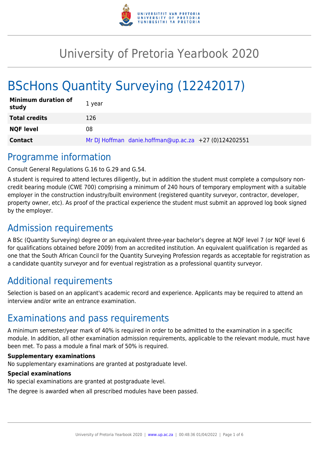

# University of Pretoria Yearbook 2020

# BScHons Quantity Surveying (12242017)

| <b>Minimum duration of</b><br>study | 1 year                                                |
|-------------------------------------|-------------------------------------------------------|
| <b>Total credits</b>                | 126                                                   |
| <b>NQF level</b>                    | 08                                                    |
| <b>Contact</b>                      | Mr DJ Hoffman danie.hoffman@up.ac.za +27 (0)124202551 |

# Programme information

Consult General Regulations G.16 to G.29 and G.54.

A student is required to attend lectures diligently, but in addition the student must complete a compulsory noncredit bearing module (CWE 700) comprising a minimum of 240 hours of temporary employment with a suitable employer in the construction industry/built environment (registered quantity surveyor, contractor, developer, property owner, etc). As proof of the practical experience the student must submit an approved log book signed by the employer.

# Admission requirements

A BSc (Quantity Surveying) degree or an equivalent three-year bachelor's degree at NQF level 7 (or NQF level 6 for qualifications obtained before 2009) from an accredited institution. An equivalent qualification is regarded as one that the South African Council for the Quantity Surveying Profession regards as acceptable for registration as a candidate quantity surveyor and for eventual registration as a professional quantity surveyor.

# Additional requirements

Selection is based on an applicant's academic record and experience. Applicants may be required to attend an interview and/or write an entrance examination.

# Examinations and pass requirements

A minimum semester/year mark of 40% is required in order to be admitted to the examination in a specific module. In addition, all other examination admission requirements, applicable to the relevant module, must have been met. To pass a module a final mark of 50% is required.

#### **Supplementary examinations**

No supplementary examinations are granted at postgraduate level.

### **Special examinations**

No special examinations are granted at postgraduate level.

The degree is awarded when all prescribed modules have been passed.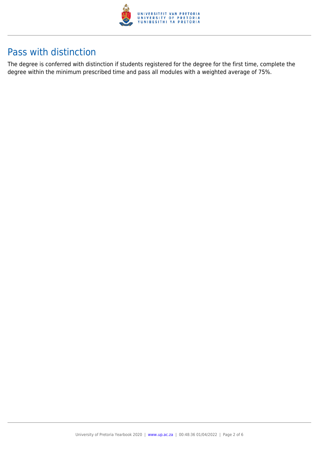

# Pass with distinction

The degree is conferred with distinction if students registered for the degree for the first time, complete the degree within the minimum prescribed time and pass all modules with a weighted average of 75%.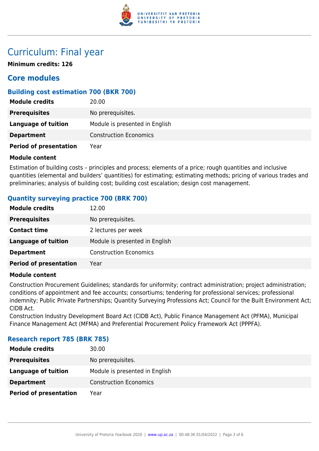

# Curriculum: Final year

**Minimum credits: 126**

## **Core modules**

### **Building cost estimation 700 (BKR 700)**

| <b>Module credits</b>         | 20.00                          |
|-------------------------------|--------------------------------|
| <b>Prerequisites</b>          | No prerequisites.              |
| Language of tuition           | Module is presented in English |
| <b>Department</b>             | <b>Construction Economics</b>  |
| <b>Period of presentation</b> | Year                           |

#### **Module content**

Estimation of building costs – principles and process; elements of a price; rough quantities and inclusive quantities (elemental and builders' quantities) for estimating; estimating methods; pricing of various trades and preliminaries; analysis of building cost; building cost escalation; design cost management.

### **Quantity surveying practice 700 (BRK 700)**

| <b>Module credits</b>         | 12.00                          |
|-------------------------------|--------------------------------|
| <b>Prerequisites</b>          | No prerequisites.              |
| <b>Contact time</b>           | 2 lectures per week            |
| <b>Language of tuition</b>    | Module is presented in English |
| <b>Department</b>             | <b>Construction Economics</b>  |
| <b>Period of presentation</b> | Year                           |

#### **Module content**

Construction Procurement Guidelines; standards for uniformity; contract administration; project administration; conditions of appointment and fee accounts; consortiums; tendering for professional services; professional indemnity; Public Private Partnerships; Quantity Surveying Professions Act; Council for the Built Environment Act; CIDB Act.

Construction Industry Development Board Act (CIDB Act), Public Finance Management Act (PFMA), Municipal Finance Management Act (MFMA) and Preferential Procurement Policy Framework Act (PPPFA).

| <b>Module credits</b>         | 30.00                          |
|-------------------------------|--------------------------------|
| <b>Prerequisites</b>          | No prerequisites.              |
| Language of tuition           | Module is presented in English |
| <b>Department</b>             | <b>Construction Economics</b>  |
| <b>Period of presentation</b> | Year                           |

#### **Research report 785 (BRK 785)**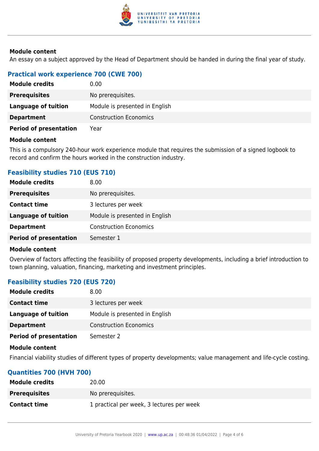

#### **Module content**

An essay on a subject approved by the Head of Department should be handed in during the final year of study.

## **Practical work experience 700 (CWE 700)**

| <b>Module credits</b>         | 0.00                           |
|-------------------------------|--------------------------------|
| <b>Prerequisites</b>          | No prerequisites.              |
| Language of tuition           | Module is presented in English |
| <b>Department</b>             | <b>Construction Economics</b>  |
| <b>Period of presentation</b> | Year                           |

#### **Module content**

This is a compulsory 240-hour work experience module that requires the submission of a signed logbook to record and confirm the hours worked in the construction industry.

### **Feasibility studies 710 (EUS 710)**

| No prerequisites.<br><b>Prerequisites</b>                    |  |
|--------------------------------------------------------------|--|
|                                                              |  |
| <b>Contact time</b><br>3 lectures per week                   |  |
| Module is presented in English<br><b>Language of tuition</b> |  |
| <b>Construction Economics</b><br><b>Department</b>           |  |
| <b>Period of presentation</b><br>Semester 1                  |  |

#### **Module content**

Overview of factors affecting the feasibility of proposed property developments, including a brief introduction to town planning, valuation, financing, marketing and investment principles.

### **Feasibility studies 720 (EUS 720)**

| <b>Module credits</b>         | 8.00                           |
|-------------------------------|--------------------------------|
| <b>Contact time</b>           | 3 lectures per week            |
| <b>Language of tuition</b>    | Module is presented in English |
| <b>Department</b>             | <b>Construction Economics</b>  |
| <b>Period of presentation</b> | Semester 2                     |

#### **Module content**

Financial viability studies of different types of property developments; value management and life-cycle costing.

#### **Quantities 700 (HVH 700)**

| <b>Module credits</b> | 20.00                                     |
|-----------------------|-------------------------------------------|
| <b>Prerequisites</b>  | No prerequisites.                         |
| <b>Contact time</b>   | 1 practical per week, 3 lectures per week |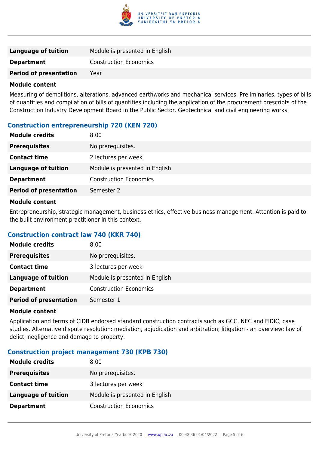

| Language of tuition           | Module is presented in English |
|-------------------------------|--------------------------------|
| <b>Department</b>             | <b>Construction Economics</b>  |
| <b>Period of presentation</b> | Year                           |

#### **Module content**

Measuring of demolitions, alterations, advanced earthworks and mechanical services. Preliminaries, types of bills of quantities and compilation of bills of quantities including the application of the procurement prescripts of the Construction Industry Development Board in the Public Sector. Geotechnical and civil engineering works.

### **Construction entrepreneurship 720 (KEN 720)**

| <b>Module credits</b>         | 8.00                           |
|-------------------------------|--------------------------------|
| <b>Prerequisites</b>          | No prerequisites.              |
| <b>Contact time</b>           | 2 lectures per week            |
| <b>Language of tuition</b>    | Module is presented in English |
| <b>Department</b>             | <b>Construction Economics</b>  |
| <b>Period of presentation</b> | Semester 2                     |

#### **Module content**

Entrepreneurship, strategic management, business ethics, effective business management. Attention is paid to the built environment practitioner in this context.

#### **Construction contract law 740 (KKR 740)**

| <b>Module credits</b>         | 8.00                           |
|-------------------------------|--------------------------------|
| <b>Prerequisites</b>          | No prerequisites.              |
| <b>Contact time</b>           | 3 lectures per week            |
| <b>Language of tuition</b>    | Module is presented in English |
| <b>Department</b>             | <b>Construction Economics</b>  |
| <b>Period of presentation</b> | Semester 1                     |

#### **Module content**

Application and terms of CIDB endorsed standard construction contracts such as GCC, NEC and FIDIC; case studies. Alternative dispute resolution: mediation, adjudication and arbitration; litigation - an overview; law of delict; negligence and damage to property.

#### **Construction project management 730 (KPB 730)**

| <b>Module credits</b>      | 8.00 <sub>1</sub>              |
|----------------------------|--------------------------------|
| <b>Prerequisites</b>       | No prerequisites.              |
| <b>Contact time</b>        | 3 lectures per week            |
| <b>Language of tuition</b> | Module is presented in English |
| <b>Department</b>          | <b>Construction Economics</b>  |